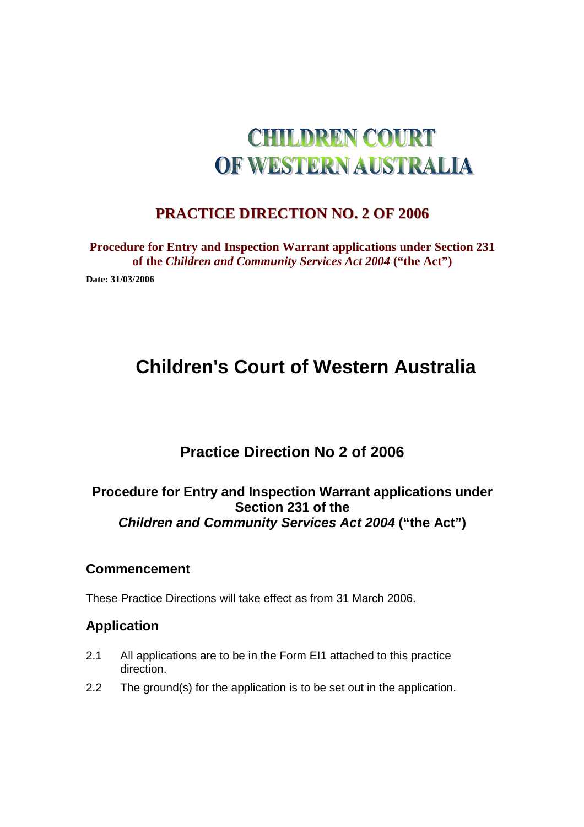# **CHILDREN COURT** OF WESTERN AUSTRALIA

### **PRACTICE DIRECTION NO. 2 OF 2006**

**Procedure for Entry and Inspection Warrant applications under Section 231 of the** *Children and Community Services Act 2004* **("the Act")** 

**Date: 31/03/2006** 

# **Children's Court of Western Australia**

## **Practice Direction No 2 of 2006**

#### **Procedure for Entry and Inspection Warrant applications under Section 231 of the Children and Community Services Act 2004 ("the Act")**

#### **Commencement**

These Practice Directions will take effect as from 31 March 2006.

#### **Application**

- 2.1 All applications are to be in the Form EI1 attached to this practice direction.
- 2.2 The ground(s) for the application is to be set out in the application.